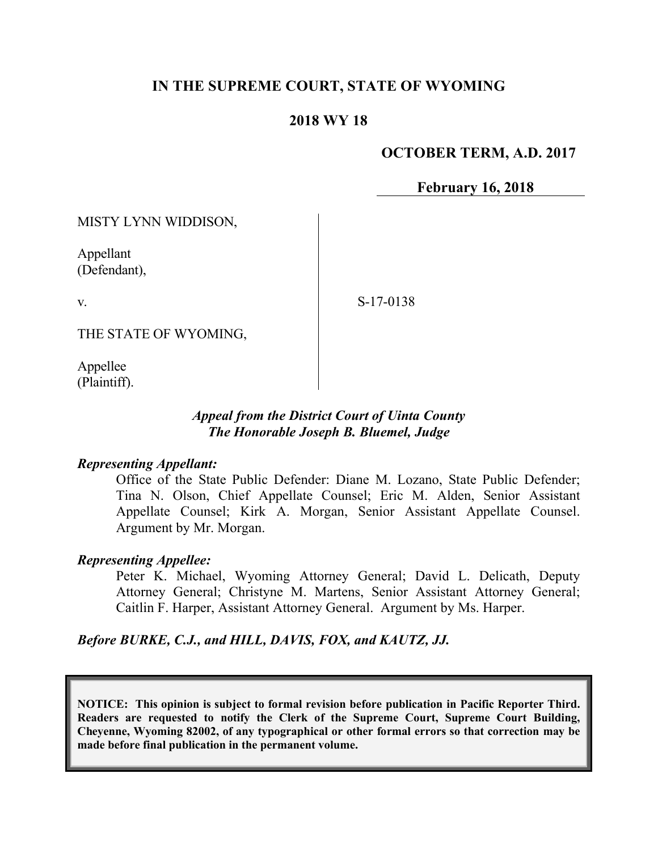# **IN THE SUPREME COURT, STATE OF WYOMING**

## **2018 WY 18**

## **OCTOBER TERM, A.D. 2017**

**February 16, 2018**

MISTY LYNN WIDDISON,

Appellant (Defendant),

v.

S-17-0138

THE STATE OF WYOMING,

Appellee (Plaintiff).

## *Appeal from the District Court of Uinta County The Honorable Joseph B. Bluemel, Judge*

#### *Representing Appellant:*

Office of the State Public Defender: Diane M. Lozano, State Public Defender; Tina N. Olson, Chief Appellate Counsel; Eric M. Alden, Senior Assistant Appellate Counsel; Kirk A. Morgan, Senior Assistant Appellate Counsel. Argument by Mr. Morgan.

## *Representing Appellee:*

Peter K. Michael, Wyoming Attorney General; David L. Delicath, Deputy Attorney General; Christyne M. Martens, Senior Assistant Attorney General; Caitlin F. Harper, Assistant Attorney General. Argument by Ms. Harper.

*Before BURKE, C.J., and HILL, DAVIS, FOX, and KAUTZ, JJ.*

**NOTICE: This opinion is subject to formal revision before publication in Pacific Reporter Third. Readers are requested to notify the Clerk of the Supreme Court, Supreme Court Building, Cheyenne, Wyoming 82002, of any typographical or other formal errors so that correction may be made before final publication in the permanent volume.**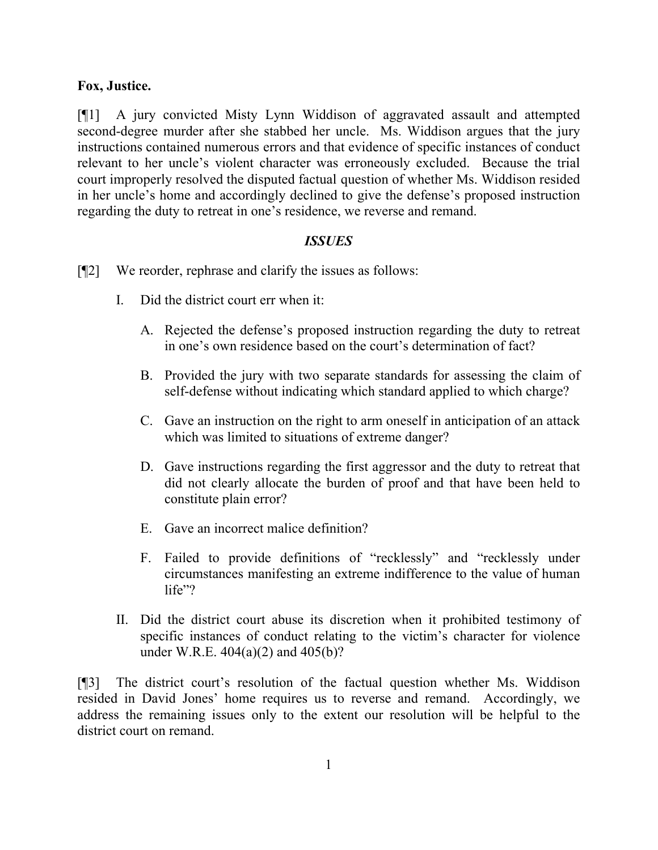## **Fox, Justice.**

[¶1] A jury convicted Misty Lynn Widdison of aggravated assault and attempted second-degree murder after she stabbed her uncle. Ms. Widdison argues that the jury instructions contained numerous errors and that evidence of specific instances of conduct relevant to her uncle's violent character was erroneously excluded. Because the trial court improperly resolved the disputed factual question of whether Ms. Widdison resided in her uncle's home and accordingly declined to give the defense's proposed instruction regarding the duty to retreat in one's residence, we reverse and remand.

## *ISSUES*

- [¶2] We reorder, rephrase and clarify the issues as follows:
	- I. Did the district court err when it:
		- A. Rejected the defense's proposed instruction regarding the duty to retreat in one's own residence based on the court's determination of fact?
		- B. Provided the jury with two separate standards for assessing the claim of self-defense without indicating which standard applied to which charge?
		- C. Gave an instruction on the right to arm oneself in anticipation of an attack which was limited to situations of extreme danger?
		- D. Gave instructions regarding the first aggressor and the duty to retreat that did not clearly allocate the burden of proof and that have been held to constitute plain error?
		- E. Gave an incorrect malice definition?
		- F. Failed to provide definitions of "recklessly" and "recklessly under circumstances manifesting an extreme indifference to the value of human life"?
	- II. Did the district court abuse its discretion when it prohibited testimony of specific instances of conduct relating to the victim's character for violence under W.R.E. 404(a)(2) and 405(b)?

[¶3] The district court's resolution of the factual question whether Ms. Widdison resided in David Jones' home requires us to reverse and remand. Accordingly, we address the remaining issues only to the extent our resolution will be helpful to the district court on remand.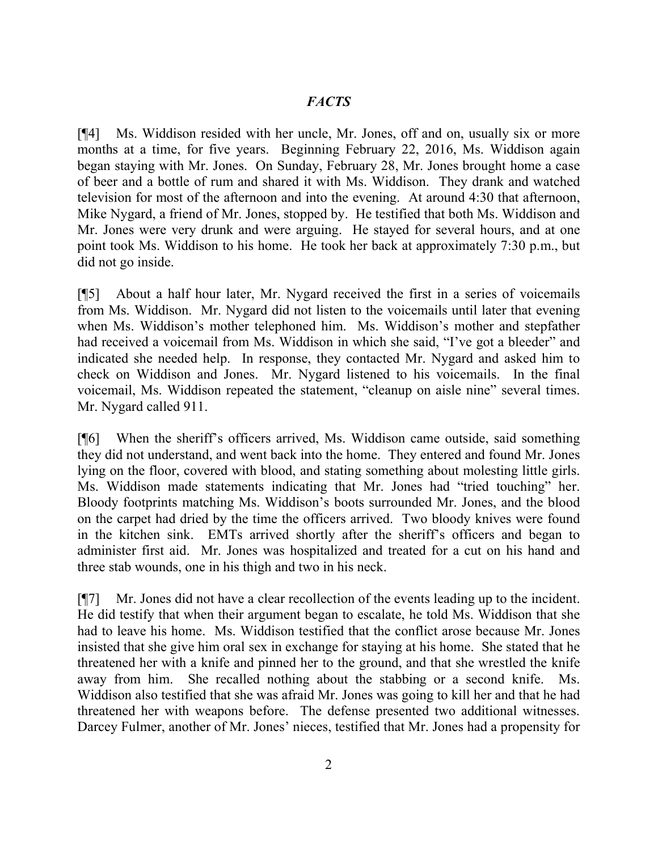## *FACTS*

[¶4] Ms. Widdison resided with her uncle, Mr. Jones, off and on, usually six or more months at a time, for five years. Beginning February 22, 2016, Ms. Widdison again began staying with Mr. Jones. On Sunday, February 28, Mr. Jones brought home a case of beer and a bottle of rum and shared it with Ms. Widdison. They drank and watched television for most of the afternoon and into the evening. At around 4:30 that afternoon, Mike Nygard, a friend of Mr. Jones, stopped by. He testified that both Ms. Widdison and Mr. Jones were very drunk and were arguing. He stayed for several hours, and at one point took Ms. Widdison to his home. He took her back at approximately 7:30 p.m., but did not go inside.

[¶5] About a half hour later, Mr. Nygard received the first in a series of voicemails from Ms. Widdison. Mr. Nygard did not listen to the voicemails until later that evening when Ms. Widdison's mother telephoned him. Ms. Widdison's mother and stepfather had received a voicemail from Ms. Widdison in which she said, "I've got a bleeder" and indicated she needed help. In response, they contacted Mr. Nygard and asked him to check on Widdison and Jones. Mr. Nygard listened to his voicemails. In the final voicemail, Ms. Widdison repeated the statement, "cleanup on aisle nine" several times. Mr. Nygard called 911.

[¶6] When the sheriff's officers arrived, Ms. Widdison came outside, said something they did not understand, and went back into the home. They entered and found Mr. Jones lying on the floor, covered with blood, and stating something about molesting little girls. Ms. Widdison made statements indicating that Mr. Jones had "tried touching" her. Bloody footprints matching Ms. Widdison's boots surrounded Mr. Jones, and the blood on the carpet had dried by the time the officers arrived. Two bloody knives were found in the kitchen sink. EMTs arrived shortly after the sheriff's officers and began to administer first aid. Mr. Jones was hospitalized and treated for a cut on his hand and three stab wounds, one in his thigh and two in his neck.

[¶7] Mr. Jones did not have a clear recollection of the events leading up to the incident. He did testify that when their argument began to escalate, he told Ms. Widdison that she had to leave his home. Ms. Widdison testified that the conflict arose because Mr. Jones insisted that she give him oral sex in exchange for staying at his home. She stated that he threatened her with a knife and pinned her to the ground, and that she wrestled the knife away from him. She recalled nothing about the stabbing or a second knife. Ms. Widdison also testified that she was afraid Mr. Jones was going to kill her and that he had threatened her with weapons before. The defense presented two additional witnesses. Darcey Fulmer, another of Mr. Jones' nieces, testified that Mr. Jones had a propensity for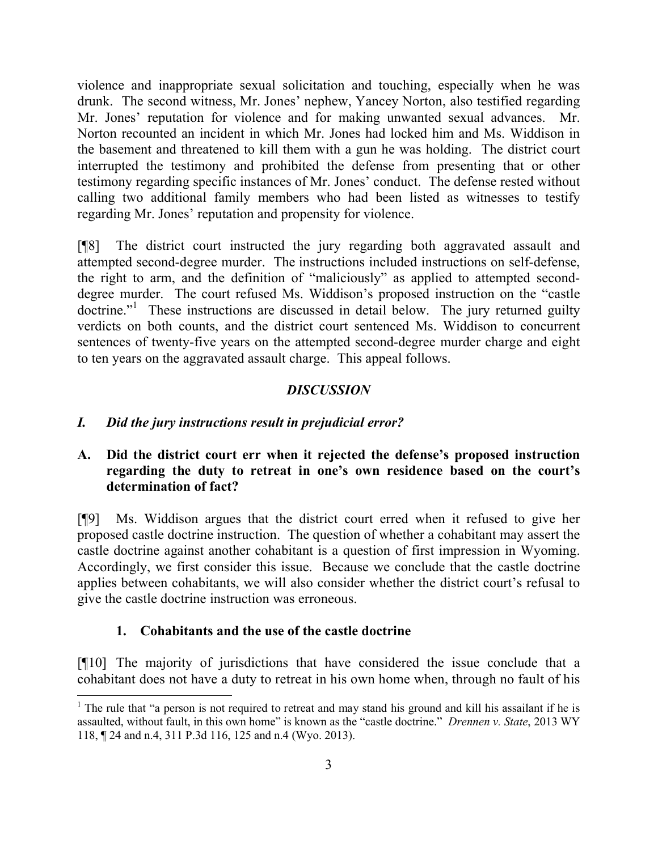violence and inappropriate sexual solicitation and touching, especially when he was drunk. The second witness, Mr. Jones' nephew, Yancey Norton, also testified regarding Mr. Jones' reputation for violence and for making unwanted sexual advances. Mr. Norton recounted an incident in which Mr. Jones had locked him and Ms. Widdison in the basement and threatened to kill them with a gun he was holding. The district court interrupted the testimony and prohibited the defense from presenting that or other testimony regarding specific instances of Mr. Jones' conduct. The defense rested without calling two additional family members who had been listed as witnesses to testify regarding Mr. Jones' reputation and propensity for violence.

[¶8] The district court instructed the jury regarding both aggravated assault and attempted second-degree murder. The instructions included instructions on self-defense, the right to arm, and the definition of "maliciously" as applied to attempted seconddegree murder. The court refused Ms. Widdison's proposed instruction on the "castle doctrine."<sup>1</sup> These instructions are discussed in detail below. The jury returned guilty verdicts on both counts, and the district court sentenced Ms. Widdison to concurrent sentences of twenty-five years on the attempted second-degree murder charge and eight to ten years on the aggravated assault charge. This appeal follows.

# *DISCUSSION*

## *I. Did the jury instructions result in prejudicial error?*

## **A. Did the district court err when it rejected the defense's proposed instruction regarding the duty to retreat in one's own residence based on the court's determination of fact?**

[¶9] Ms. Widdison argues that the district court erred when it refused to give her proposed castle doctrine instruction. The question of whether a cohabitant may assert the castle doctrine against another cohabitant is a question of first impression in Wyoming. Accordingly, we first consider this issue. Because we conclude that the castle doctrine applies between cohabitants, we will also consider whether the district court's refusal to give the castle doctrine instruction was erroneous.

## **1. Cohabitants and the use of the castle doctrine**

 $\overline{\phantom{a}}$ 

[¶10] The majority of jurisdictions that have considered the issue conclude that a cohabitant does not have a duty to retreat in his own home when, through no fault of his

<sup>&</sup>lt;sup>1</sup> The rule that "a person is not required to retreat and may stand his ground and kill his assailant if he is assaulted, without fault, in this own home" is known as the "castle doctrine." *Drennen v. State*, 2013 WY 118, ¶ 24 and n.4, 311 P.3d 116, 125 and n.4 (Wyo. 2013).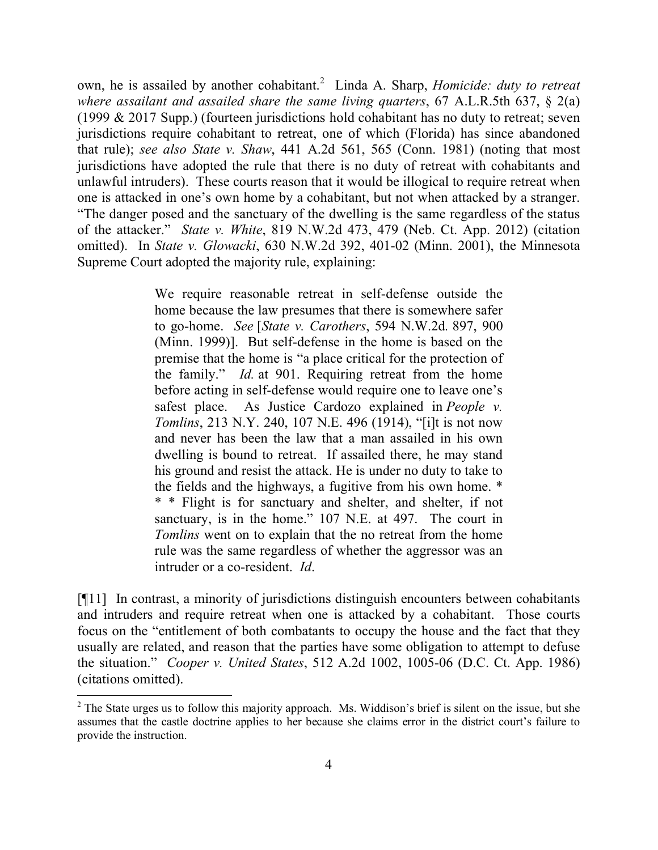own, he is assailed by another cohabitant.<sup>2</sup> Linda A. Sharp, *Homicide: duty to retreat where assailant and assailed share the same living quarters*, 67 A.L.R.5th 637, § 2(a) (1999 & 2017 Supp.) (fourteen jurisdictions hold cohabitant has no duty to retreat; seven jurisdictions require cohabitant to retreat, one of which (Florida) has since abandoned that rule); *see also State v. Shaw*, 441 A.2d 561, 565 (Conn. 1981) (noting that most jurisdictions have adopted the rule that there is no duty of retreat with cohabitants and unlawful intruders). These courts reason that it would be illogical to require retreat when one is attacked in one's own home by a cohabitant, but not when attacked by a stranger. "The danger posed and the sanctuary of the dwelling is the same regardless of the status of the attacker." *State v. White*, 819 N.W.2d 473, 479 (Neb. Ct. App. 2012) (citation omitted). In *State v. Glowacki*, 630 N.W.2d 392, 401-02 (Minn. 2001), the Minnesota Supreme Court adopted the majority rule, explaining:

> We require reasonable retreat in self-defense outside the home because the law presumes that there is somewhere safer to go-home. *See* [*State v. Carothers*, 594 N.W.2d*.* 897, 900 (Minn. 1999)]. But self-defense in the home is based on the premise that the home is "a place critical for the protection of the family." *Id.* at 901. Requiring retreat from the home before acting in self-defense would require one to leave one's safest place. As Justice Cardozo explained in *People v. Tomlins*, 213 N.Y. 240, 107 N.E. 496 (1914), "[i]t is not now and never has been the law that a man assailed in his own dwelling is bound to retreat. If assailed there, he may stand his ground and resist the attack. He is under no duty to take to the fields and the highways, a fugitive from his own home. \* \* \* Flight is for sanctuary and shelter, and shelter, if not sanctuary, is in the home." 107 N.E. at 497. The court in *Tomlins* went on to explain that the no retreat from the home rule was the same regardless of whether the aggressor was an intruder or a co-resident. *Id*.

[¶11] In contrast, a minority of jurisdictions distinguish encounters between cohabitants and intruders and require retreat when one is attacked by a cohabitant. Those courts focus on the "entitlement of both combatants to occupy the house and the fact that they usually are related, and reason that the parties have some obligation to attempt to defuse the situation." *Cooper v. United States*, 512 A.2d 1002, 1005-06 (D.C. Ct. App. 1986) (citations omitted).

 $\overline{\phantom{a}}$ 

 $2$  The State urges us to follow this majority approach. Ms. Widdison's brief is silent on the issue, but she assumes that the castle doctrine applies to her because she claims error in the district court's failure to provide the instruction.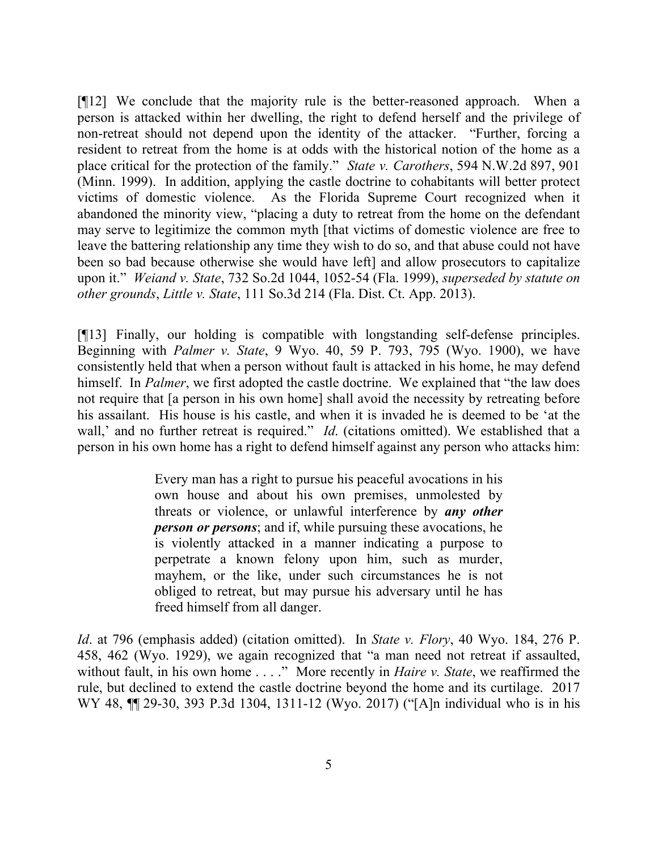[¶12] We conclude that the majority rule is the better-reasoned approach. When a person is attacked within her dwelling, the right to defend herself and the privilege of non-retreat should not depend upon the identity of the attacker. "Further, forcing a resident to retreat from the home is at odds with the historical notion of the home as a place critical for the protection of the family." *State v. Carothers*, 594 N.W.2d 897, 901 (Minn. 1999). In addition, applying the castle doctrine to cohabitants will better protect victims of domestic violence. As the Florida Supreme Court recognized when it abandoned the minority view, "placing a duty to retreat from the home on the defendant may serve to legitimize the common myth [that victims of domestic violence are free to leave the battering relationship any time they wish to do so, and that abuse could not have been so bad because otherwise she would have left] and allow prosecutors to capitalize upon it." *Weiand v. State*, 732 So.2d 1044, 1052-54 (Fla. 1999), *superseded by statute on other grounds*, *Little v. State*, 111 So.3d 214 (Fla. Dist. Ct. App. 2013).

[¶13] Finally, our holding is compatible with longstanding self-defense principles. Beginning with *Palmer v. State*, 9 Wyo. 40, 59 P. 793, 795 (Wyo. 1900), we have consistently held that when a person without fault is attacked in his home, he may defend himself. In *Palmer*, we first adopted the castle doctrine. We explained that "the law does" not require that [a person in his own home] shall avoid the necessity by retreating before his assailant. His house is his castle, and when it is invaded he is deemed to be 'at the wall,' and no further retreat is required." *Id.* (citations omitted). We established that a person in his own home has a right to defend himself against any person who attacks him:

> Every man has a right to pursue his peaceful avocations in his own house and about his own premises, unmolested by threats or violence, or unlawful interference by *any other person or persons*; and if, while pursuing these avocations, he is violently attacked in a manner indicating a purpose to perpetrate a known felony upon him, such as murder, mayhem, or the like, under such circumstances he is not obliged to retreat, but may pursue his adversary until he has freed himself from all danger.

*Id*. at 796 (emphasis added) (citation omitted). In *State v. Flory*, 40 Wyo. 184, 276 P. 458, 462 (Wyo. 1929), we again recognized that "a man need not retreat if assaulted, without fault, in his own home . . . ." More recently in *Haire v. State*, we reaffirmed the rule, but declined to extend the castle doctrine beyond the home and its curtilage. 2017 WY 48, ¶¶ 29-30, 393 P.3d 1304, 1311-12 (Wyo. 2017) ("[A]n individual who is in his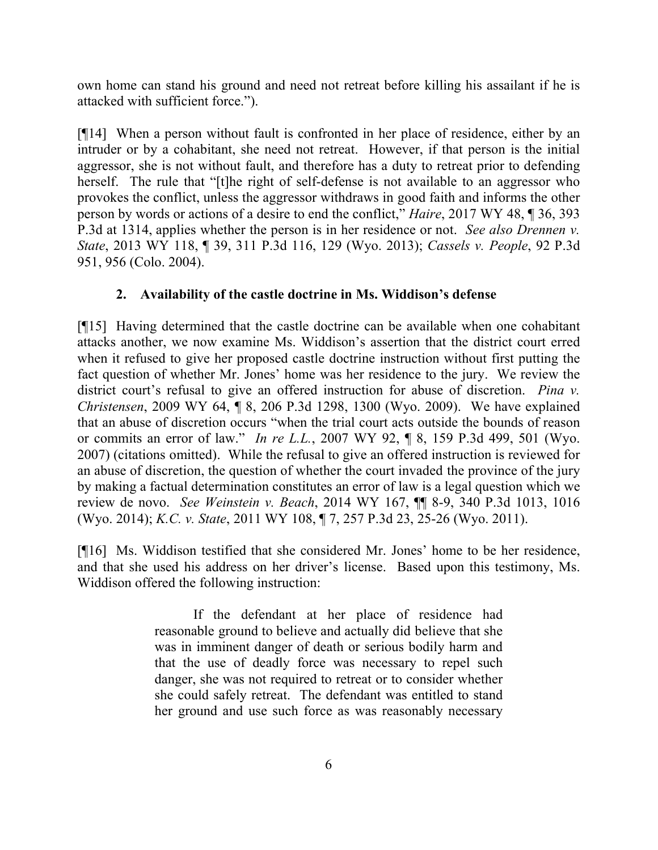own home can stand his ground and need not retreat before killing his assailant if he is attacked with sufficient force.").

[¶14] When a person without fault is confronted in her place of residence, either by an intruder or by a cohabitant, she need not retreat. However, if that person is the initial aggressor, she is not without fault, and therefore has a duty to retreat prior to defending herself. The rule that "[t]he right of self-defense is not available to an aggressor who provokes the conflict, unless the aggressor withdraws in good faith and informs the other person by words or actions of a desire to end the conflict," *Haire*, 2017 WY 48, ¶ 36, 393 P.3d at 1314, applies whether the person is in her residence or not. *See also Drennen v. State*, 2013 WY 118, ¶ 39, 311 P.3d 116, 129 (Wyo. 2013); *Cassels v. People*, 92 P.3d 951, 956 (Colo. 2004).

# **2. Availability of the castle doctrine in Ms. Widdison's defense**

[¶15] Having determined that the castle doctrine can be available when one cohabitant attacks another, we now examine Ms. Widdison's assertion that the district court erred when it refused to give her proposed castle doctrine instruction without first putting the fact question of whether Mr. Jones' home was her residence to the jury. We review the district court's refusal to give an offered instruction for abuse of discretion. *Pina v. Christensen*, 2009 WY 64, ¶ 8, 206 P.3d 1298, 1300 (Wyo. 2009). We have explained that an abuse of discretion occurs "when the trial court acts outside the bounds of reason or commits an error of law." *In re L.L.*, 2007 WY 92, ¶ 8, 159 P.3d 499, 501 (Wyo. 2007) (citations omitted). While the refusal to give an offered instruction is reviewed for an abuse of discretion, the question of whether the court invaded the province of the jury by making a factual determination constitutes an error of law is a legal question which we review de novo. *See Weinstein v. Beach*, 2014 WY 167, ¶¶ 8-9, 340 P.3d 1013, 1016 (Wyo. 2014); *K.C. v. State*, 2011 WY 108, ¶ 7, 257 P.3d 23, 25-26 (Wyo. 2011).

[¶16] Ms. Widdison testified that she considered Mr. Jones' home to be her residence, and that she used his address on her driver's license. Based upon this testimony, Ms. Widdison offered the following instruction:

> If the defendant at her place of residence had reasonable ground to believe and actually did believe that she was in imminent danger of death or serious bodily harm and that the use of deadly force was necessary to repel such danger, she was not required to retreat or to consider whether she could safely retreat. The defendant was entitled to stand her ground and use such force as was reasonably necessary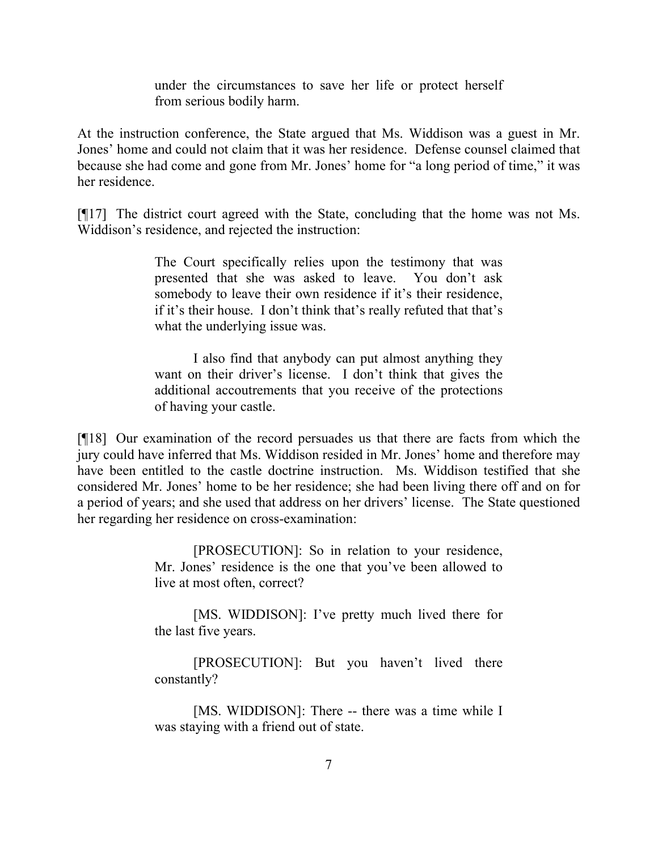under the circumstances to save her life or protect herself from serious bodily harm.

At the instruction conference, the State argued that Ms. Widdison was a guest in Mr. Jones' home and could not claim that it was her residence. Defense counsel claimed that because she had come and gone from Mr. Jones' home for "a long period of time," it was her residence.

[¶17] The district court agreed with the State, concluding that the home was not Ms. Widdison's residence, and rejected the instruction:

> The Court specifically relies upon the testimony that was presented that she was asked to leave. You don't ask somebody to leave their own residence if it's their residence, if it's their house. I don't think that's really refuted that that's what the underlying issue was.

> I also find that anybody can put almost anything they want on their driver's license. I don't think that gives the additional accoutrements that you receive of the protections of having your castle.

[¶18] Our examination of the record persuades us that there are facts from which the jury could have inferred that Ms. Widdison resided in Mr. Jones' home and therefore may have been entitled to the castle doctrine instruction. Ms. Widdison testified that she considered Mr. Jones' home to be her residence; she had been living there off and on for a period of years; and she used that address on her drivers' license. The State questioned her regarding her residence on cross-examination:

> [PROSECUTION]: So in relation to your residence, Mr. Jones' residence is the one that you've been allowed to live at most often, correct?

> [MS. WIDDISON]: I've pretty much lived there for the last five years.

> [PROSECUTION]: But you haven't lived there constantly?

> [MS. WIDDISON]: There -- there was a time while I was staying with a friend out of state.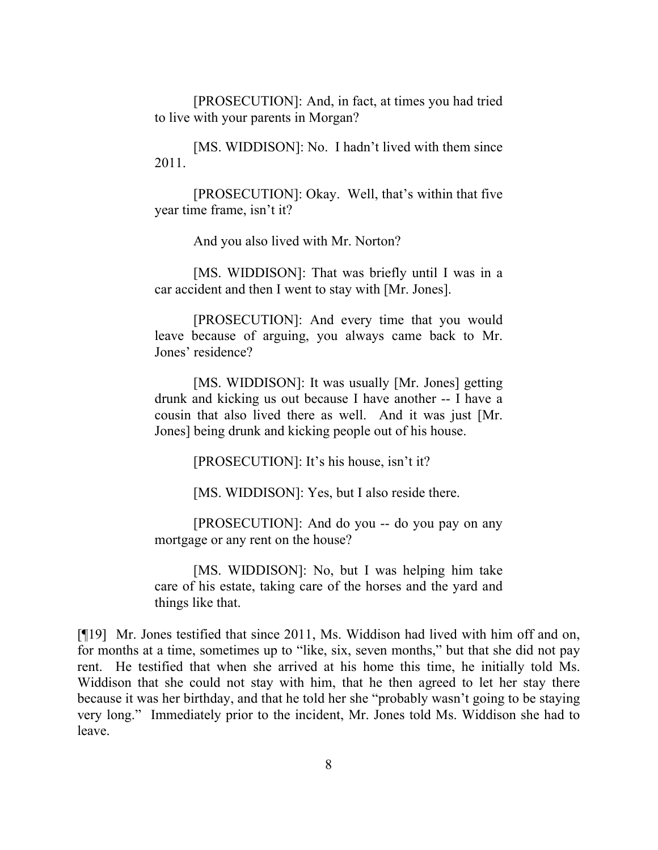[PROSECUTION]: And, in fact, at times you had tried to live with your parents in Morgan?

[MS. WIDDISON]: No. I hadn't lived with them since 2011.

[PROSECUTION]: Okay. Well, that's within that five year time frame, isn't it?

And you also lived with Mr. Norton?

[MS. WIDDISON]: That was briefly until I was in a car accident and then I went to stay with [Mr. Jones].

[PROSECUTION]: And every time that you would leave because of arguing, you always came back to Mr. Jones' residence?

[MS. WIDDISON]: It was usually [Mr. Jones] getting drunk and kicking us out because I have another -- I have a cousin that also lived there as well. And it was just [Mr. Jones] being drunk and kicking people out of his house.

[PROSECUTION]: It's his house, isn't it?

[MS. WIDDISON]: Yes, but I also reside there.

[PROSECUTION]: And do you -- do you pay on any mortgage or any rent on the house?

[MS. WIDDISON]: No, but I was helping him take care of his estate, taking care of the horses and the yard and things like that.

[¶19] Mr. Jones testified that since 2011, Ms. Widdison had lived with him off and on, for months at a time, sometimes up to "like, six, seven months," but that she did not pay rent. He testified that when she arrived at his home this time, he initially told Ms. Widdison that she could not stay with him, that he then agreed to let her stay there because it was her birthday, and that he told her she "probably wasn't going to be staying very long." Immediately prior to the incident, Mr. Jones told Ms. Widdison she had to leave.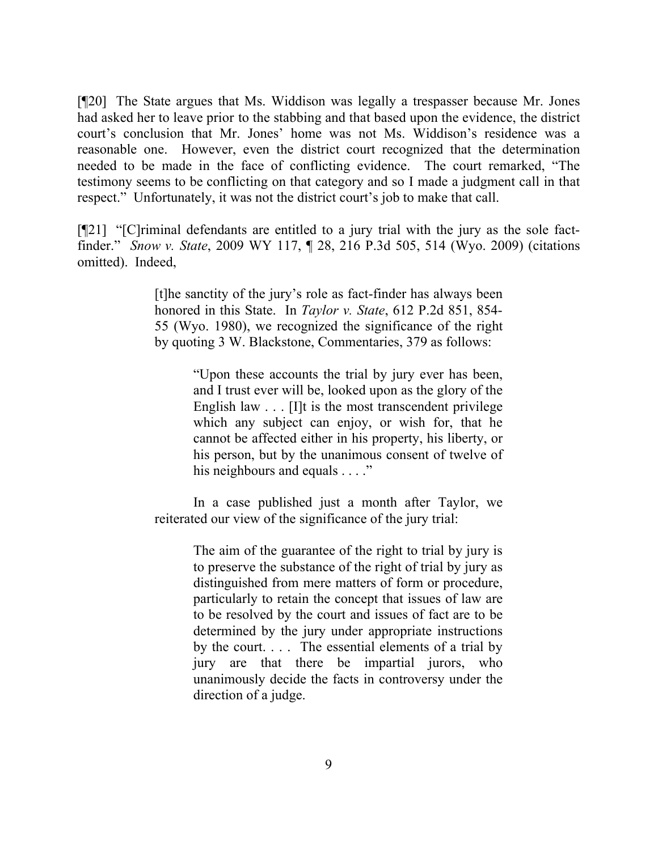[¶20] The State argues that Ms. Widdison was legally a trespasser because Mr. Jones had asked her to leave prior to the stabbing and that based upon the evidence, the district court's conclusion that Mr. Jones' home was not Ms. Widdison's residence was a reasonable one. However, even the district court recognized that the determination needed to be made in the face of conflicting evidence. The court remarked, "The testimony seems to be conflicting on that category and so I made a judgment call in that respect." Unfortunately, it was not the district court's job to make that call.

[¶21] "[C]riminal defendants are entitled to a jury trial with the jury as the sole factfinder." *Snow v. State*, 2009 WY 117, ¶ 28, 216 P.3d 505, 514 (Wyo. 2009) (citations omitted). Indeed,

> [t]he sanctity of the jury's role as fact-finder has always been honored in this State. In *Taylor v. State*, 612 P.2d 851, 854- 55 (Wyo. 1980), we recognized the significance of the right by quoting 3 W. Blackstone, Commentaries, 379 as follows:

> > "Upon these accounts the trial by jury ever has been, and I trust ever will be, looked upon as the glory of the English law . . . [I]t is the most transcendent privilege which any subject can enjoy, or wish for, that he cannot be affected either in his property, his liberty, or his person, but by the unanimous consent of twelve of his neighbours and equals . . . ."

In a case published just a month after Taylor, we reiterated our view of the significance of the jury trial:

> The aim of the guarantee of the right to trial by jury is to preserve the substance of the right of trial by jury as distinguished from mere matters of form or procedure, particularly to retain the concept that issues of law are to be resolved by the court and issues of fact are to be determined by the jury under appropriate instructions by the court. . . . The essential elements of a trial by jury are that there be impartial jurors, who unanimously decide the facts in controversy under the direction of a judge.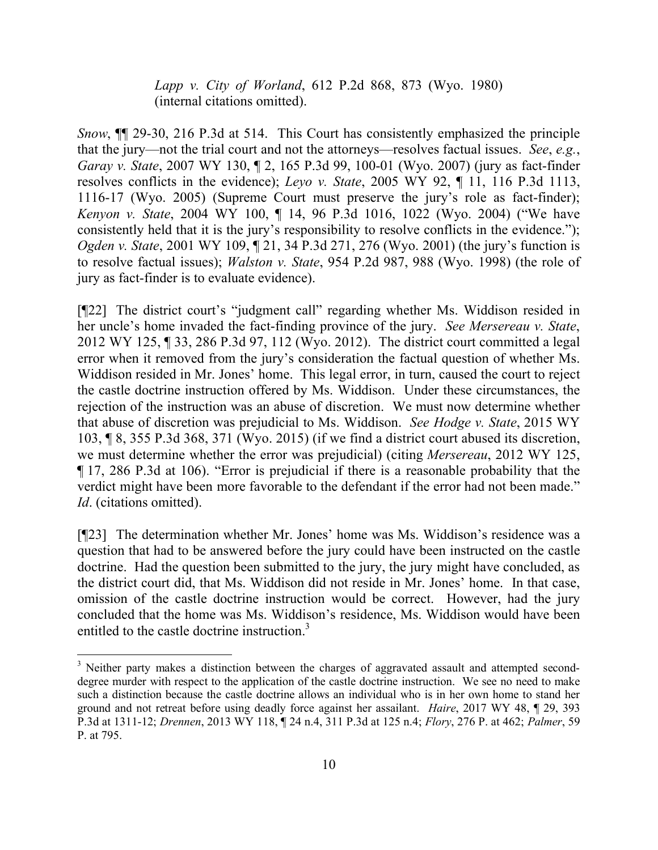*Lapp v. City of Worland*, 612 P.2d 868, 873 (Wyo. 1980) (internal citations omitted).

*Snow*,  $\mathbb{I}$  29-30, 216 P.3d at 514. This Court has consistently emphasized the principle that the jury—not the trial court and not the attorneys—resolves factual issues. *See*, *e.g.*, *Garay v. State*, 2007 WY 130, ¶ 2, 165 P.3d 99, 100-01 (Wyo. 2007) (jury as fact-finder resolves conflicts in the evidence); *Leyo v. State*, 2005 WY 92, ¶ 11, 116 P.3d 1113, 1116-17 (Wyo. 2005) (Supreme Court must preserve the jury's role as fact-finder); *Kenyon v. State*, 2004 WY 100, ¶ 14, 96 P.3d 1016, 1022 (Wyo. 2004) ("We have consistently held that it is the jury's responsibility to resolve conflicts in the evidence."); *Ogden v. State*, 2001 WY 109, 121, 34 P.3d 271, 276 (Wyo. 2001) (the jury's function is to resolve factual issues); *Walston v. State*, 954 P.2d 987, 988 (Wyo. 1998) (the role of jury as fact-finder is to evaluate evidence).

[¶22] The district court's "judgment call" regarding whether Ms. Widdison resided in her uncle's home invaded the fact-finding province of the jury. *See Mersereau v. State*, 2012 WY 125, ¶ 33, 286 P.3d 97, 112 (Wyo. 2012). The district court committed a legal error when it removed from the jury's consideration the factual question of whether Ms. Widdison resided in Mr. Jones' home. This legal error, in turn, caused the court to reject the castle doctrine instruction offered by Ms. Widdison. Under these circumstances, the rejection of the instruction was an abuse of discretion. We must now determine whether that abuse of discretion was prejudicial to Ms. Widdison. *See Hodge v. State*, 2015 WY 103, ¶ 8, 355 P.3d 368, 371 (Wyo. 2015) (if we find a district court abused its discretion, we must determine whether the error was prejudicial) (citing *Mersereau*, 2012 WY 125, ¶ 17, 286 P.3d at 106). "Error is prejudicial if there is a reasonable probability that the verdict might have been more favorable to the defendant if the error had not been made." *Id*. (citations omitted).

[¶23] The determination whether Mr. Jones' home was Ms. Widdison's residence was a question that had to be answered before the jury could have been instructed on the castle doctrine. Had the question been submitted to the jury, the jury might have concluded, as the district court did, that Ms. Widdison did not reside in Mr. Jones' home. In that case, omission of the castle doctrine instruction would be correct. However, had the jury concluded that the home was Ms. Widdison's residence, Ms. Widdison would have been entitled to the castle doctrine instruction.<sup>3</sup>

l

<sup>&</sup>lt;sup>3</sup> Neither party makes a distinction between the charges of aggravated assault and attempted seconddegree murder with respect to the application of the castle doctrine instruction. We see no need to make such a distinction because the castle doctrine allows an individual who is in her own home to stand her ground and not retreat before using deadly force against her assailant. *Haire*, 2017 WY 48, ¶ 29, 393 P.3d at 1311-12; *Drennen*, 2013 WY 118, ¶ 24 n.4, 311 P.3d at 125 n.4; *Flory*, 276 P. at 462; *Palmer*, 59 P. at 795.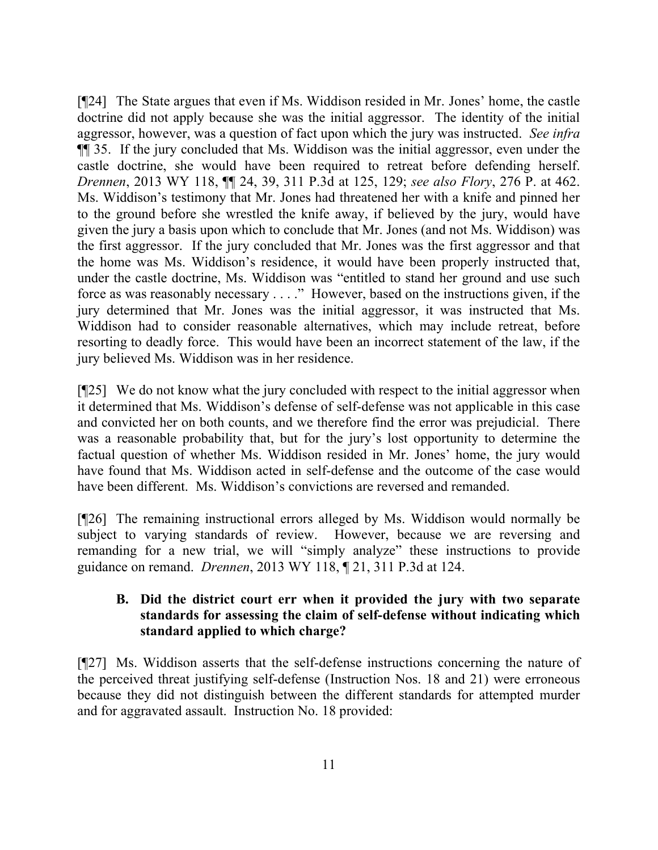[¶24] The State argues that even if Ms. Widdison resided in Mr. Jones' home, the castle doctrine did not apply because she was the initial aggressor. The identity of the initial aggressor, however, was a question of fact upon which the jury was instructed. *See infra*  ¶¶ 35. If the jury concluded that Ms. Widdison was the initial aggressor, even under the castle doctrine, she would have been required to retreat before defending herself. *Drennen*, 2013 WY 118, ¶¶ 24, 39, 311 P.3d at 125, 129; *see also Flory*, 276 P. at 462. Ms. Widdison's testimony that Mr. Jones had threatened her with a knife and pinned her to the ground before she wrestled the knife away, if believed by the jury, would have given the jury a basis upon which to conclude that Mr. Jones (and not Ms. Widdison) was the first aggressor. If the jury concluded that Mr. Jones was the first aggressor and that the home was Ms. Widdison's residence, it would have been properly instructed that, under the castle doctrine, Ms. Widdison was "entitled to stand her ground and use such force as was reasonably necessary . . . ." However, based on the instructions given, if the jury determined that Mr. Jones was the initial aggressor, it was instructed that Ms. Widdison had to consider reasonable alternatives, which may include retreat, before resorting to deadly force. This would have been an incorrect statement of the law, if the jury believed Ms. Widdison was in her residence.

[¶25] We do not know what the jury concluded with respect to the initial aggressor when it determined that Ms. Widdison's defense of self-defense was not applicable in this case and convicted her on both counts, and we therefore find the error was prejudicial. There was a reasonable probability that, but for the jury's lost opportunity to determine the factual question of whether Ms. Widdison resided in Mr. Jones' home, the jury would have found that Ms. Widdison acted in self-defense and the outcome of the case would have been different. Ms. Widdison's convictions are reversed and remanded.

[¶26] The remaining instructional errors alleged by Ms. Widdison would normally be subject to varying standards of review. However, because we are reversing and remanding for a new trial, we will "simply analyze" these instructions to provide guidance on remand. *Drennen*, 2013 WY 118, ¶ 21, 311 P.3d at 124.

# **B. Did the district court err when it provided the jury with two separate standards for assessing the claim of self-defense without indicating which standard applied to which charge?**

[¶27] Ms. Widdison asserts that the self-defense instructions concerning the nature of the perceived threat justifying self-defense (Instruction Nos. 18 and 21) were erroneous because they did not distinguish between the different standards for attempted murder and for aggravated assault. Instruction No. 18 provided: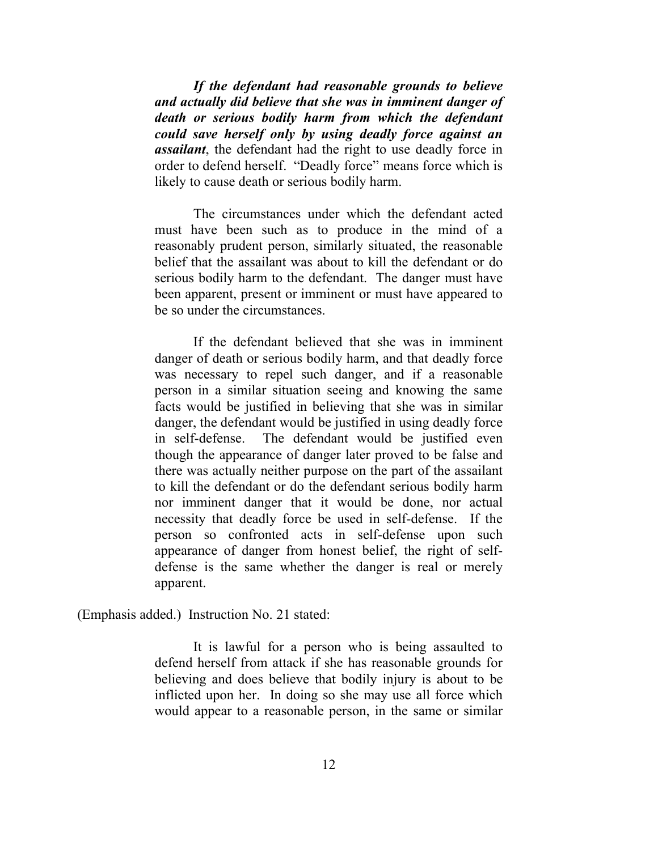*If the defendant had reasonable grounds to believe and actually did believe that she was in imminent danger of death or serious bodily harm from which the defendant could save herself only by using deadly force against an assailant*, the defendant had the right to use deadly force in order to defend herself. "Deadly force" means force which is likely to cause death or serious bodily harm.

The circumstances under which the defendant acted must have been such as to produce in the mind of a reasonably prudent person, similarly situated, the reasonable belief that the assailant was about to kill the defendant or do serious bodily harm to the defendant. The danger must have been apparent, present or imminent or must have appeared to be so under the circumstances.

If the defendant believed that she was in imminent danger of death or serious bodily harm, and that deadly force was necessary to repel such danger, and if a reasonable person in a similar situation seeing and knowing the same facts would be justified in believing that she was in similar danger, the defendant would be justified in using deadly force in self-defense. The defendant would be justified even though the appearance of danger later proved to be false and there was actually neither purpose on the part of the assailant to kill the defendant or do the defendant serious bodily harm nor imminent danger that it would be done, nor actual necessity that deadly force be used in self-defense. If the person so confronted acts in self-defense upon such appearance of danger from honest belief, the right of selfdefense is the same whether the danger is real or merely apparent.

(Emphasis added.) Instruction No. 21 stated:

It is lawful for a person who is being assaulted to defend herself from attack if she has reasonable grounds for believing and does believe that bodily injury is about to be inflicted upon her. In doing so she may use all force which would appear to a reasonable person, in the same or similar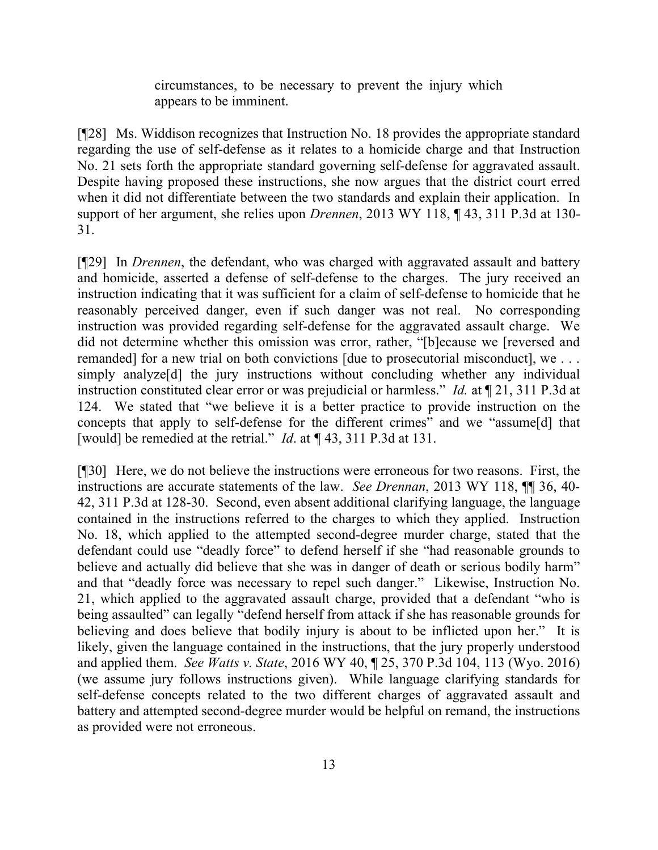circumstances, to be necessary to prevent the injury which appears to be imminent.

[¶28] Ms. Widdison recognizes that Instruction No. 18 provides the appropriate standard regarding the use of self-defense as it relates to a homicide charge and that Instruction No. 21 sets forth the appropriate standard governing self-defense for aggravated assault. Despite having proposed these instructions, she now argues that the district court erred when it did not differentiate between the two standards and explain their application. In support of her argument, she relies upon *Drennen*, 2013 WY 118, ¶ 43, 311 P.3d at 130- 31.

[¶29] In *Drennen*, the defendant, who was charged with aggravated assault and battery and homicide, asserted a defense of self-defense to the charges. The jury received an instruction indicating that it was sufficient for a claim of self-defense to homicide that he reasonably perceived danger, even if such danger was not real. No corresponding instruction was provided regarding self-defense for the aggravated assault charge. We did not determine whether this omission was error, rather, "[b]ecause we [reversed and remanded] for a new trial on both convictions [due to prosecutorial misconduct], we . . . simply analyze<sup>[d]</sup> the jury instructions without concluding whether any individual instruction constituted clear error or was prejudicial or harmless." *Id.* at ¶ 21, 311 P.3d at 124. We stated that "we believe it is a better practice to provide instruction on the concepts that apply to self-defense for the different crimes" and we "assume[d] that [would] be remedied at the retrial." *Id*. at *¶* 43, 311 P.3d at 131.

[¶30] Here, we do not believe the instructions were erroneous for two reasons. First, the instructions are accurate statements of the law. *See Drennan*, 2013 WY 118, ¶¶ 36, 40- 42, 311 P.3d at 128-30. Second, even absent additional clarifying language, the language contained in the instructions referred to the charges to which they applied. Instruction No. 18, which applied to the attempted second-degree murder charge, stated that the defendant could use "deadly force" to defend herself if she "had reasonable grounds to believe and actually did believe that she was in danger of death or serious bodily harm" and that "deadly force was necessary to repel such danger." Likewise, Instruction No. 21, which applied to the aggravated assault charge, provided that a defendant "who is being assaulted" can legally "defend herself from attack if she has reasonable grounds for believing and does believe that bodily injury is about to be inflicted upon her." It is likely, given the language contained in the instructions, that the jury properly understood and applied them. *See Watts v. State*, 2016 WY 40, ¶ 25, 370 P.3d 104, 113 (Wyo. 2016) (we assume jury follows instructions given). While language clarifying standards for self-defense concepts related to the two different charges of aggravated assault and battery and attempted second-degree murder would be helpful on remand, the instructions as provided were not erroneous.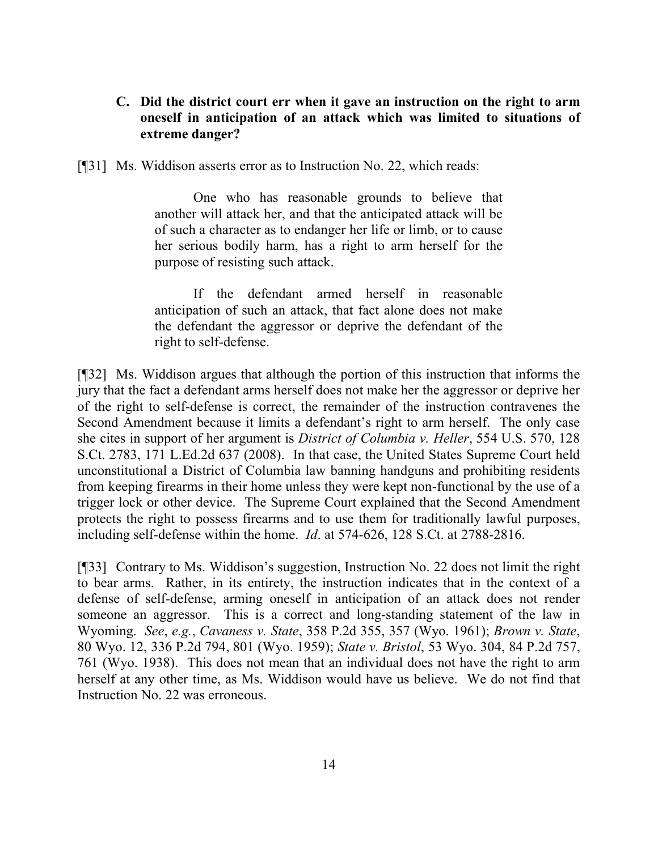## **C. Did the district court err when it gave an instruction on the right to arm oneself in anticipation of an attack which was limited to situations of extreme danger?**

[¶31] Ms. Widdison asserts error as to Instruction No. 22, which reads:

One who has reasonable grounds to believe that another will attack her, and that the anticipated attack will be of such a character as to endanger her life or limb, or to cause her serious bodily harm, has a right to arm herself for the purpose of resisting such attack.

If the defendant armed herself in reasonable anticipation of such an attack, that fact alone does not make the defendant the aggressor or deprive the defendant of the right to self-defense.

[¶32] Ms. Widdison argues that although the portion of this instruction that informs the jury that the fact a defendant arms herself does not make her the aggressor or deprive her of the right to self-defense is correct, the remainder of the instruction contravenes the Second Amendment because it limits a defendant's right to arm herself. The only case she cites in support of her argument is *District of Columbia v. Heller*, 554 U.S. 570, 128 S.Ct. 2783, 171 L.Ed.2d 637 (2008). In that case, the United States Supreme Court held unconstitutional a District of Columbia law banning handguns and prohibiting residents from keeping firearms in their home unless they were kept non-functional by the use of a trigger lock or other device. The Supreme Court explained that the Second Amendment protects the right to possess firearms and to use them for traditionally lawful purposes, including self-defense within the home. *Id*. at 574-626, 128 S.Ct. at 2788-2816.

[¶33] Contrary to Ms. Widdison's suggestion, Instruction No. 22 does not limit the right to bear arms. Rather, in its entirety, the instruction indicates that in the context of a defense of self-defense, arming oneself in anticipation of an attack does not render someone an aggressor. This is a correct and long-standing statement of the law in Wyoming. *See*, *e.g.*, *Cavaness v. State*, 358 P.2d 355, 357 (Wyo. 1961); *Brown v. State*, 80 Wyo. 12, 336 P.2d 794, 801 (Wyo. 1959); *State v. Bristol*, 53 Wyo. 304, 84 P.2d 757, 761 (Wyo. 1938). This does not mean that an individual does not have the right to arm herself at any other time, as Ms. Widdison would have us believe. We do not find that Instruction No. 22 was erroneous.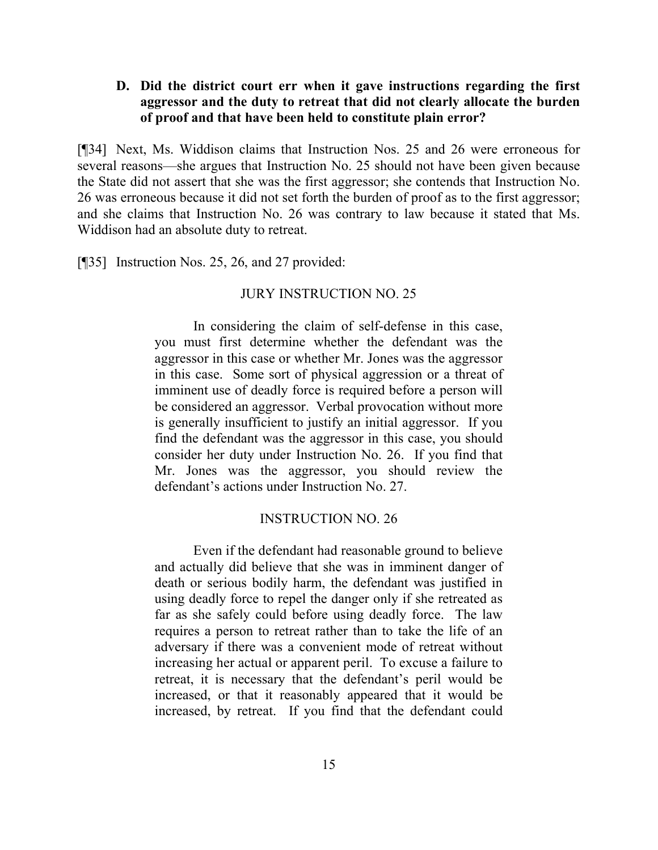## **D. Did the district court err when it gave instructions regarding the first aggressor and the duty to retreat that did not clearly allocate the burden of proof and that have been held to constitute plain error?**

[¶34] Next, Ms. Widdison claims that Instruction Nos. 25 and 26 were erroneous for several reasons—she argues that Instruction No. 25 should not have been given because the State did not assert that she was the first aggressor; she contends that Instruction No. 26 was erroneous because it did not set forth the burden of proof as to the first aggressor; and she claims that Instruction No. 26 was contrary to law because it stated that Ms. Widdison had an absolute duty to retreat.

[¶35] Instruction Nos. 25, 26, and 27 provided:

#### JURY INSTRUCTION NO. 25

In considering the claim of self-defense in this case, you must first determine whether the defendant was the aggressor in this case or whether Mr. Jones was the aggressor in this case. Some sort of physical aggression or a threat of imminent use of deadly force is required before a person will be considered an aggressor. Verbal provocation without more is generally insufficient to justify an initial aggressor. If you find the defendant was the aggressor in this case, you should consider her duty under Instruction No. 26. If you find that Mr. Jones was the aggressor, you should review the defendant's actions under Instruction No. 27.

#### INSTRUCTION NO. 26

Even if the defendant had reasonable ground to believe and actually did believe that she was in imminent danger of death or serious bodily harm, the defendant was justified in using deadly force to repel the danger only if she retreated as far as she safely could before using deadly force. The law requires a person to retreat rather than to take the life of an adversary if there was a convenient mode of retreat without increasing her actual or apparent peril. To excuse a failure to retreat, it is necessary that the defendant's peril would be increased, or that it reasonably appeared that it would be increased, by retreat. If you find that the defendant could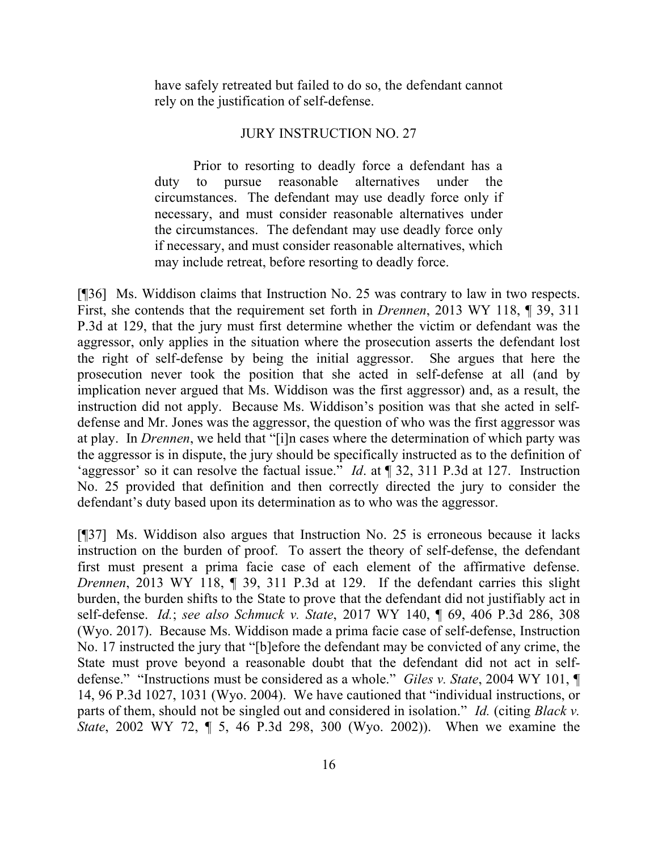have safely retreated but failed to do so, the defendant cannot rely on the justification of self-defense.

#### JURY INSTRUCTION NO. 27

Prior to resorting to deadly force a defendant has a duty to pursue reasonable alternatives under the circumstances. The defendant may use deadly force only if necessary, and must consider reasonable alternatives under the circumstances. The defendant may use deadly force only if necessary, and must consider reasonable alternatives, which may include retreat, before resorting to deadly force.

[¶36] Ms. Widdison claims that Instruction No. 25 was contrary to law in two respects. First, she contends that the requirement set forth in *Drennen*, 2013 WY 118, ¶ 39, 311 P.3d at 129, that the jury must first determine whether the victim or defendant was the aggressor, only applies in the situation where the prosecution asserts the defendant lost the right of self-defense by being the initial aggressor. She argues that here the prosecution never took the position that she acted in self-defense at all (and by implication never argued that Ms. Widdison was the first aggressor) and, as a result, the instruction did not apply. Because Ms. Widdison's position was that she acted in selfdefense and Mr. Jones was the aggressor, the question of who was the first aggressor was at play. In *Drennen*, we held that "[i]n cases where the determination of which party was the aggressor is in dispute, the jury should be specifically instructed as to the definition of 'aggressor' so it can resolve the factual issue." *Id*. at ¶ 32, 311 P.3d at 127. Instruction No. 25 provided that definition and then correctly directed the jury to consider the defendant's duty based upon its determination as to who was the aggressor.

[¶37] Ms. Widdison also argues that Instruction No. 25 is erroneous because it lacks instruction on the burden of proof. To assert the theory of self-defense, the defendant first must present a prima facie case of each element of the affirmative defense. *Drennen*, 2013 WY 118, ¶ 39, 311 P.3d at 129. If the defendant carries this slight burden, the burden shifts to the State to prove that the defendant did not justifiably act in self-defense. *Id.*; *see also Schmuck v. State*, 2017 WY 140, ¶ 69, 406 P.3d 286, 308 (Wyo. 2017). Because Ms. Widdison made a prima facie case of self-defense, Instruction No. 17 instructed the jury that "[b]efore the defendant may be convicted of any crime, the State must prove beyond a reasonable doubt that the defendant did not act in selfdefense." "Instructions must be considered as a whole." *Giles v. State*, 2004 WY 101, ¶ 14, 96 P.3d 1027, 1031 (Wyo. 2004). We have cautioned that "individual instructions, or parts of them, should not be singled out and considered in isolation." *Id.* (citing *Black v. State*, 2002 WY 72, ¶ 5, 46 P.3d 298, 300 (Wyo. 2002)). When we examine the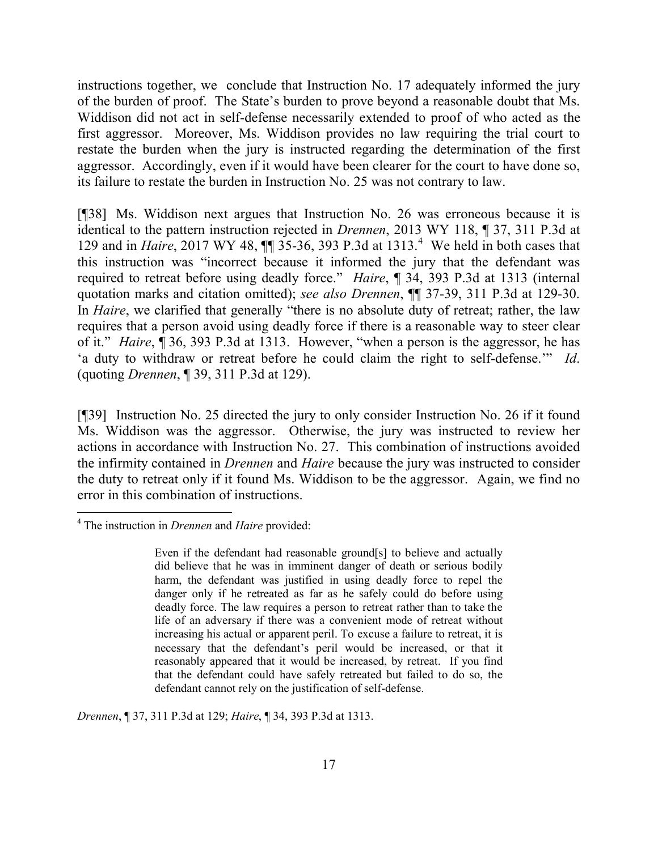instructions together, we conclude that Instruction No. 17 adequately informed the jury of the burden of proof. The State's burden to prove beyond a reasonable doubt that Ms. Widdison did not act in self-defense necessarily extended to proof of who acted as the first aggressor. Moreover, Ms. Widdison provides no law requiring the trial court to restate the burden when the jury is instructed regarding the determination of the first aggressor. Accordingly, even if it would have been clearer for the court to have done so, its failure to restate the burden in Instruction No. 25 was not contrary to law.

[¶38] Ms. Widdison next argues that Instruction No. 26 was erroneous because it is identical to the pattern instruction rejected in *Drennen*, 2013 WY 118, ¶ 37, 311 P.3d at 129 and in *Haire*, 2017 WY 48,  $\P$  35-36, 393 P.3d at 1313.<sup>4</sup> We held in both cases that this instruction was "incorrect because it informed the jury that the defendant was required to retreat before using deadly force." *Haire*, ¶ 34, 393 P.3d at 1313 (internal quotation marks and citation omitted); *see also Drennen*, ¶¶ 37-39, 311 P.3d at 129-30. In *Haire*, we clarified that generally "there is no absolute duty of retreat; rather, the law requires that a person avoid using deadly force if there is a reasonable way to steer clear of it." *Haire*, ¶ 36, 393 P.3d at 1313. However, "when a person is the aggressor, he has 'a duty to withdraw or retreat before he could claim the right to self-defense.'" *Id*. (quoting *Drennen*, ¶ 39, 311 P.3d at 129).

[¶39] Instruction No. 25 directed the jury to only consider Instruction No. 26 if it found Ms. Widdison was the aggressor. Otherwise, the jury was instructed to review her actions in accordance with Instruction No. 27. This combination of instructions avoided the infirmity contained in *Drennen* and *Haire* because the jury was instructed to consider the duty to retreat only if it found Ms. Widdison to be the aggressor. Again, we find no error in this combination of instructions.

l

*Drennen*, ¶ 37, 311 P.3d at 129; *Haire*, ¶ 34, 393 P.3d at 1313.

<sup>4</sup> The instruction in *Drennen* and *Haire* provided:

Even if the defendant had reasonable ground[s] to believe and actually did believe that he was in imminent danger of death or serious bodily harm, the defendant was justified in using deadly force to repel the danger only if he retreated as far as he safely could do before using deadly force. The law requires a person to retreat rather than to take the life of an adversary if there was a convenient mode of retreat without increasing his actual or apparent peril. To excuse a failure to retreat, it is necessary that the defendant's peril would be increased, or that it reasonably appeared that it would be increased, by retreat. If you find that the defendant could have safely retreated but failed to do so, the defendant cannot rely on the justification of self-defense.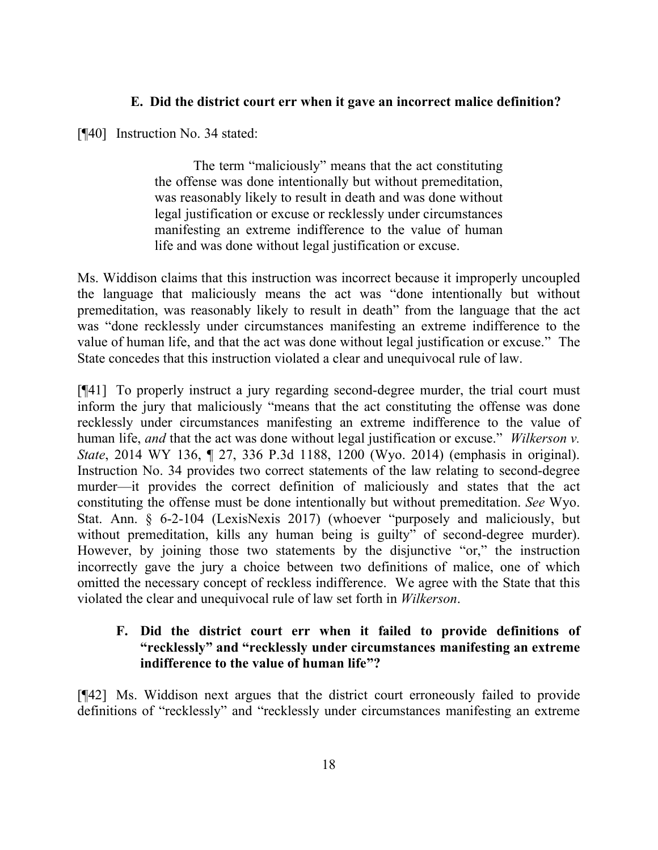## **E. Did the district court err when it gave an incorrect malice definition?**

[¶40] Instruction No. 34 stated:

The term "maliciously" means that the act constituting the offense was done intentionally but without premeditation, was reasonably likely to result in death and was done without legal justification or excuse or recklessly under circumstances manifesting an extreme indifference to the value of human life and was done without legal justification or excuse.

Ms. Widdison claims that this instruction was incorrect because it improperly uncoupled the language that maliciously means the act was "done intentionally but without premeditation, was reasonably likely to result in death" from the language that the act was "done recklessly under circumstances manifesting an extreme indifference to the value of human life, and that the act was done without legal justification or excuse." The State concedes that this instruction violated a clear and unequivocal rule of law.

[¶41] To properly instruct a jury regarding second-degree murder, the trial court must inform the jury that maliciously "means that the act constituting the offense was done recklessly under circumstances manifesting an extreme indifference to the value of human life, *and* that the act was done without legal justification or excuse." *Wilkerson v. State*, 2014 WY 136, ¶ 27, 336 P.3d 1188, 1200 (Wyo. 2014) (emphasis in original). Instruction No. 34 provides two correct statements of the law relating to second-degree murder—it provides the correct definition of maliciously and states that the act constituting the offense must be done intentionally but without premeditation. *See* Wyo. Stat. Ann. § 6-2-104 (LexisNexis 2017) (whoever "purposely and maliciously, but without premeditation, kills any human being is guilty" of second-degree murder). However, by joining those two statements by the disjunctive "or," the instruction incorrectly gave the jury a choice between two definitions of malice, one of which omitted the necessary concept of reckless indifference. We agree with the State that this violated the clear and unequivocal rule of law set forth in *Wilkerson*.

## **F. Did the district court err when it failed to provide definitions of "recklessly" and "recklessly under circumstances manifesting an extreme indifference to the value of human life"?**

[¶42] Ms. Widdison next argues that the district court erroneously failed to provide definitions of "recklessly" and "recklessly under circumstances manifesting an extreme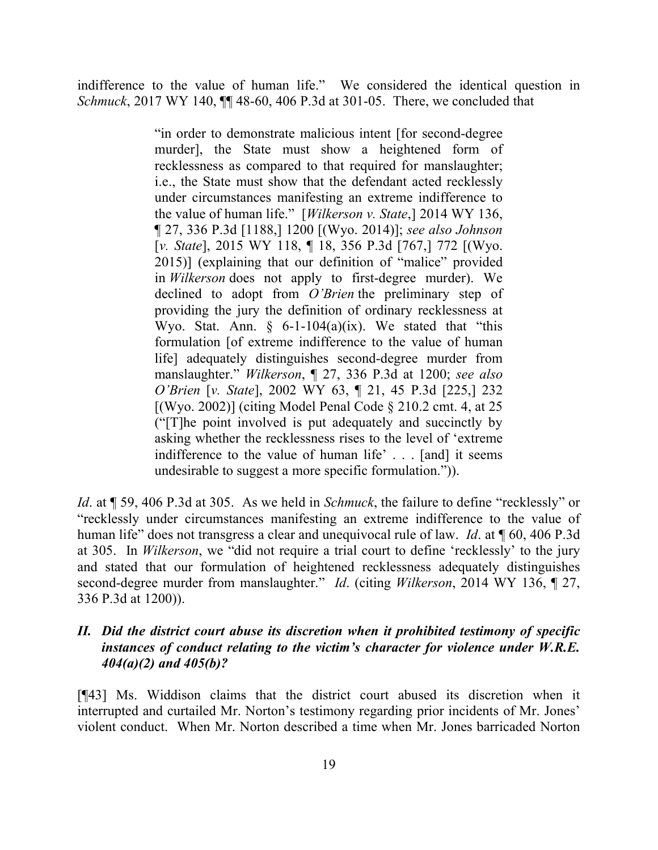indifference to the value of human life." We considered the identical question in *Schmuck*, 2017 WY 140, ¶¶ 48-60, 406 P.3d at 301-05. There, we concluded that

> "in order to demonstrate malicious intent [for second-degree murder], the State must show a heightened form of recklessness as compared to that required for manslaughter; i.e., the State must show that the defendant acted recklessly under circumstances manifesting an extreme indifference to the value of human life." [*Wilkerson v. State*,] 2014 WY 136, ¶ 27, 336 P.3d [1188,] 1200 [(Wyo. 2014)]; *see also Johnson* [*v. State*], 2015 WY 118, ¶ 18, 356 P.3d [767,] 772 [(Wyo. 2015)] (explaining that our definition of "malice" provided in *Wilkerson* does not apply to first-degree murder). We declined to adopt from *O'Brien* the preliminary step of providing the jury the definition of ordinary recklessness at Wyo. Stat. Ann.  $\S$  6-1-104(a)(ix). We stated that "this formulation [of extreme indifference to the value of human life] adequately distinguishes second-degree murder from manslaughter." *Wilkerson*, ¶ 27, 336 P.3d at 1200; *see also O'Brien* [*v. State*], 2002 WY 63, ¶ 21, 45 P.3d [225,] 232  $[(Wyo. 2002)]$  (citing Model Penal Code  $§$  210.2 cmt. 4, at 25 ("[T]he point involved is put adequately and succinctly by asking whether the recklessness rises to the level of 'extreme indifference to the value of human life' . . . [and] it seems undesirable to suggest a more specific formulation.")).

*Id*. at ¶ 59, 406 P.3d at 305. As we held in *Schmuck*, the failure to define "recklessly" or "recklessly under circumstances manifesting an extreme indifference to the value of human life" does not transgress a clear and unequivocal rule of law. *Id*. at ¶ 60, 406 P.3d at 305. In *Wilkerson*, we "did not require a trial court to define 'recklessly' to the jury and stated that our formulation of heightened recklessness adequately distinguishes second-degree murder from manslaughter." *Id*. (citing *Wilkerson*, 2014 WY 136, ¶ 27, 336 P.3d at 1200)).

## *II. Did the district court abuse its discretion when it prohibited testimony of specific instances of conduct relating to the victim's character for violence under W.R.E. 404(a)(2) and 405(b)?*

[¶43] Ms. Widdison claims that the district court abused its discretion when it interrupted and curtailed Mr. Norton's testimony regarding prior incidents of Mr. Jones' violent conduct. When Mr. Norton described a time when Mr. Jones barricaded Norton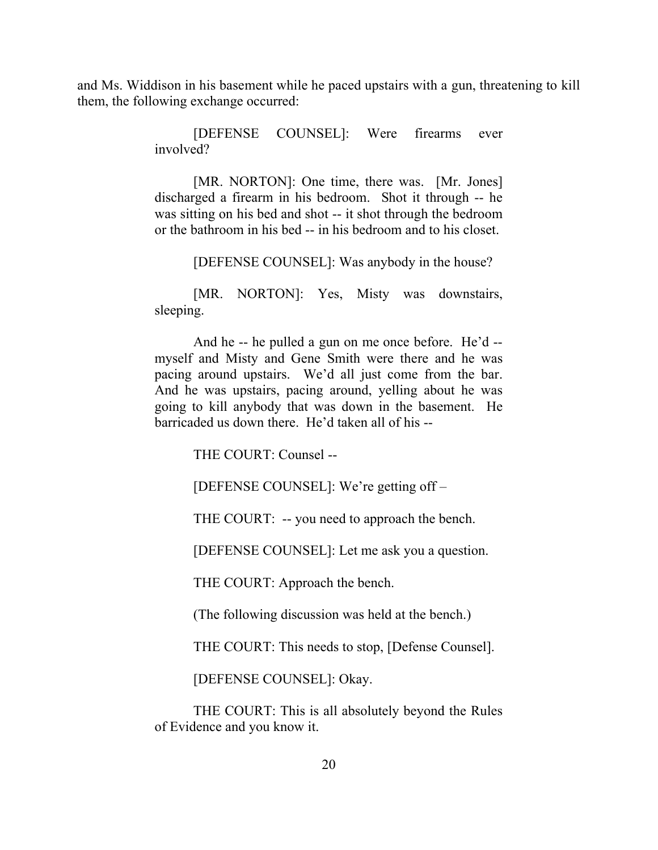and Ms. Widdison in his basement while he paced upstairs with a gun, threatening to kill them, the following exchange occurred:

> [DEFENSE COUNSEL]: Were firearms ever involved?

> [MR. NORTON]: One time, there was. [Mr. Jones] discharged a firearm in his bedroom. Shot it through -- he was sitting on his bed and shot -- it shot through the bedroom or the bathroom in his bed -- in his bedroom and to his closet.

> > [DEFENSE COUNSEL]: Was anybody in the house?

[MR. NORTON]: Yes, Misty was downstairs, sleeping.

And he -- he pulled a gun on me once before. He'd - myself and Misty and Gene Smith were there and he was pacing around upstairs. We'd all just come from the bar. And he was upstairs, pacing around, yelling about he was going to kill anybody that was down in the basement. He barricaded us down there. He'd taken all of his --

THE COURT: Counsel --

[DEFENSE COUNSEL]: We're getting off –

THE COURT: -- you need to approach the bench.

[DEFENSE COUNSEL]: Let me ask you a question.

THE COURT: Approach the bench.

(The following discussion was held at the bench.)

THE COURT: This needs to stop, [Defense Counsel].

[DEFENSE COUNSEL]: Okay.

THE COURT: This is all absolutely beyond the Rules of Evidence and you know it.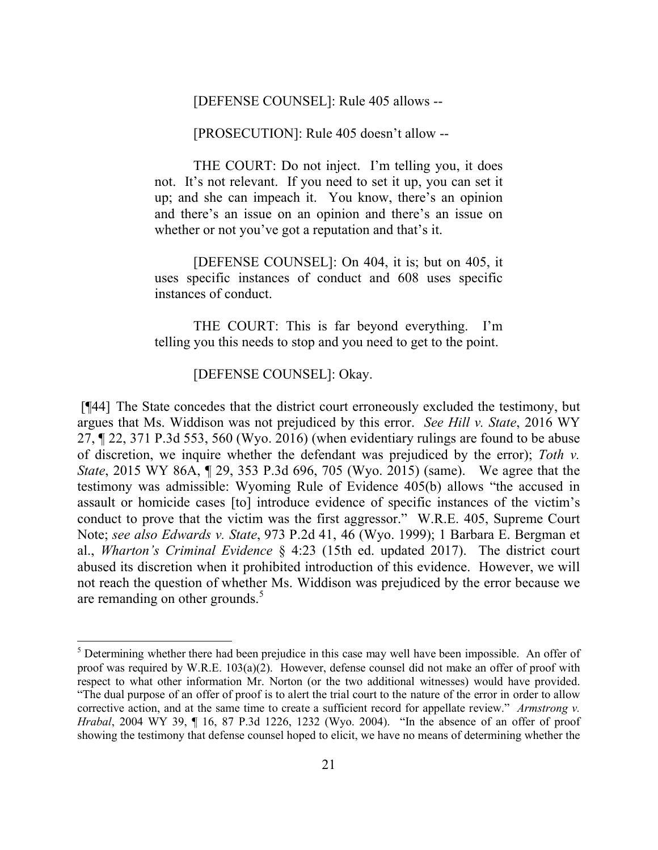[DEFENSE COUNSEL]: Rule 405 allows --

[PROSECUTION]: Rule 405 doesn't allow --

THE COURT: Do not inject. I'm telling you, it does not. It's not relevant. If you need to set it up, you can set it up; and she can impeach it. You know, there's an opinion and there's an issue on an opinion and there's an issue on whether or not you've got a reputation and that's it.

[DEFENSE COUNSEL]: On 404, it is; but on 405, it uses specific instances of conduct and 608 uses specific instances of conduct.

THE COURT: This is far beyond everything. I'm telling you this needs to stop and you need to get to the point.

## [DEFENSE COUNSEL]: Okay.

 $\overline{\phantom{a}}$ 

[¶44] The State concedes that the district court erroneously excluded the testimony, but argues that Ms. Widdison was not prejudiced by this error. *See Hill v. State*, 2016 WY 27, ¶ 22, 371 P.3d 553, 560 (Wyo. 2016) (when evidentiary rulings are found to be abuse of discretion, we inquire whether the defendant was prejudiced by the error); *Toth v. State*, 2015 WY 86A, ¶ 29, 353 P.3d 696, 705 (Wyo. 2015) (same). We agree that the testimony was admissible: Wyoming Rule of Evidence 405(b) allows "the accused in assault or homicide cases [to] introduce evidence of specific instances of the victim's conduct to prove that the victim was the first aggressor." W.R.E. 405, Supreme Court Note; *see also Edwards v. State*, 973 P.2d 41, 46 (Wyo. 1999); 1 Barbara E. Bergman et al., *Wharton's Criminal Evidence* § 4:23 (15th ed. updated 2017). The district court abused its discretion when it prohibited introduction of this evidence. However, we will not reach the question of whether Ms. Widdison was prejudiced by the error because we are remanding on other grounds. $5$ 

<sup>&</sup>lt;sup>5</sup> Determining whether there had been prejudice in this case may well have been impossible. An offer of proof was required by W.R.E. 103(a)(2). However, defense counsel did not make an offer of proof with respect to what other information Mr. Norton (or the two additional witnesses) would have provided. "The dual purpose of an offer of proof is to alert the trial court to the nature of the error in order to allow corrective action, and at the same time to create a sufficient record for appellate review." *Armstrong v. Hrabal*, 2004 WY 39, ¶ 16, 87 P.3d 1226, 1232 (Wyo. 2004). "In the absence of an offer of proof showing the testimony that defense counsel hoped to elicit, we have no means of determining whether the